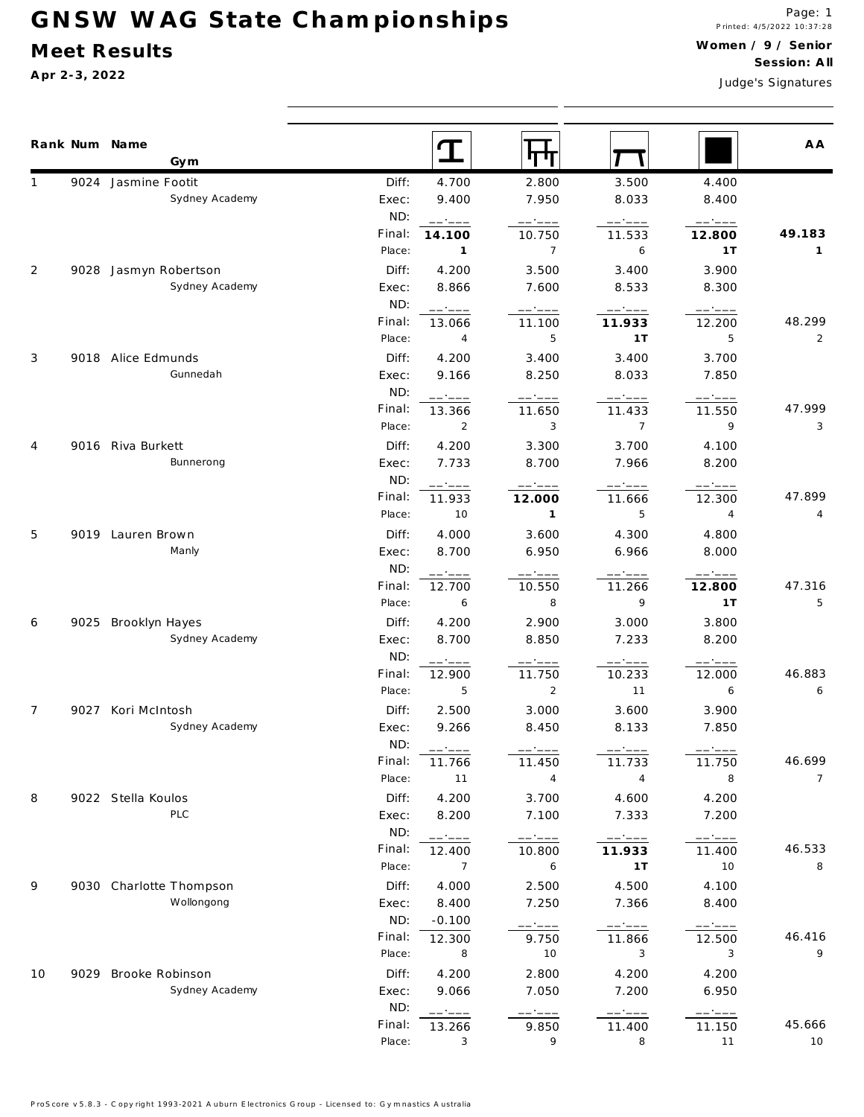## GNSW WAG State Championships

## Meet Results

Apr 2-3, 2022

Judge's Signatures

|    | Rank Num Name<br>Gym                  |               | T                 | पाप                      |                  |                          | A A            |
|----|---------------------------------------|---------------|-------------------|--------------------------|------------------|--------------------------|----------------|
|    | 9024 Jasmine Footit                   | Diff:         | 4.700             | 2.800                    | 3.500            | 4.400                    |                |
|    | Sydney Academy                        | Exec:         | 9.400             | 7.950                    | 8.033            | 8.400                    |                |
|    |                                       | ND:           | ------            | ------                   | ------           | ------                   |                |
|    |                                       | Final:        | 14.100            | 10.750                   | 11.533           | 12.800                   | 49.183         |
|    |                                       | Place:        | $\overline{1}$    | $\overline{7}$           | 6                | 1T                       | $\mathbf{1}$   |
| 2  | 9028 Jasmyn Robertson                 | Diff:         | 4.200             | 3.500                    | 3.400            | 3.900                    |                |
|    | Sydney Academy                        | Exec:         | 8.866             | 7.600                    | 8.533            | 8.300                    |                |
|    |                                       | ND:           | ------            | ------                   |                  |                          |                |
|    |                                       | Final:        | 13.066            | 11.100                   | 11.933           | 12.200                   | 48.299         |
|    |                                       | Place:        | $\overline{4}$    | 5                        | 1T               | 5                        | $\overline{2}$ |
| 3  | 9018 Alice Edmunds                    | Diff:         | 4.200             | 3.400                    | 3.400            | 3.700                    |                |
|    | Gunnedah                              | Exec:         | 9.166             | 8.250                    | 8.033            | 7.850                    |                |
|    |                                       | ND:           | ------            | -----                    |                  | ------                   |                |
|    |                                       | Final:        | 13.366            | 11.650                   | 11.433           | 11.550                   | 47.999         |
|    |                                       | Place:        | $\overline{2}$    | 3                        | $\overline{7}$   | 9                        | 3              |
| 4  | 9016 Riva Burkett                     | Diff:         | 4.200             | 3.300                    | 3.700            | 4.100                    |                |
|    | Bunnerong                             | Exec:         | 7.733             | 8.700                    | 7.966            | 8.200                    |                |
|    |                                       | ND:<br>Final: | ------            | $---:---$                | ------           | ------                   | 47.899         |
|    |                                       | Place:        | 11.933<br>10      | 12.000<br>$\overline{1}$ | 11.666<br>5      | 12.300<br>$\overline{4}$ | 4              |
|    |                                       |               |                   |                          |                  |                          |                |
| 5  | 9019 Lauren Brown                     | Diff:         | 4.000             | 3.600                    | 4.300            | 4.800                    |                |
|    | Manly                                 | Exec:<br>ND:  | 8.700             | 6.950                    | 6.966            | 8.000                    |                |
|    |                                       | Final:        |                   | -----<br>10.550          | ------           | ------<br>12.800         | 47.316         |
|    |                                       | Place:        | 12.700<br>6       | 8                        | 11.266<br>9      | 1T                       | 5              |
|    |                                       | Diff:         | 4.200             | 2.900                    | 3.000            | 3.800                    |                |
| 6  | 9025 Brooklyn Hayes<br>Sydney Academy | Exec:         | 8.700             | 8.850                    | 7.233            | 8.200                    |                |
|    |                                       | ND:           |                   |                          |                  |                          |                |
|    |                                       | Final:        | -- ----<br>12.900 | - ----<br>11.750         | - ----<br>10.233 | 12.000                   | 46.883         |
|    |                                       | Place:        | 5                 | $\overline{2}$           | 11               | 6                        | 6              |
| 7  | 9027 Kori McIntosh                    | Diff:         | 2.500             | 3.000                    | 3.600            | 3.900                    |                |
|    | Sydney Academy                        | Exec:         | 9.266             | 8.450                    | 8.133            | 7.850                    |                |
|    |                                       | ND:           | ------            |                          |                  |                          |                |
|    |                                       | Final:        | 11.766            | 11.450                   | 11.733           | 11.750                   | 46.699         |
|    |                                       | Place:        | $11$              | $\overline{4}$           | $\sqrt{4}$       | 8                        | $\overline{7}$ |
| 8  | 9022 Stella Koulos                    | Diff:         | 4.200             | 3.700                    | 4.600            | 4.200                    |                |
|    | PLC                                   | Exec:         | 8.200             | 7.100                    | 7.333            | 7.200                    |                |
|    |                                       | ND:           | ------            | ------                   |                  | ------                   |                |
|    |                                       | Final:        | 12.400            | 10.800                   | 11.933           | 11.400                   | 46.533         |
|    |                                       | Place:        | 7                 | 6                        | 1T               | 10                       | 8              |
| 9  | 9030 Charlotte Thompson               | Diff:         | 4.000             | 2.500                    | 4.500            | 4.100                    |                |
|    | Wollongong                            | Exec:         | 8.400             | 7.250                    | 7.366            | 8.400                    |                |
|    |                                       | ND:           | $-0.100$          | ------                   | ------           | ------                   |                |
|    |                                       | Final:        | 12.300            | 9.750                    | 11.866           | 12.500                   | 46.416         |
|    |                                       | Place:        | 8                 | 10                       | 3                | 3                        | 9              |
| 10 | 9029 Brooke Robinson                  | Diff:         | 4.200             | 2.800                    | 4.200            | 4.200                    |                |
|    | Sydney Academy                        | Exec:         | 9.066             | 7.050                    | 7.200            | 6.950                    |                |
|    |                                       | ND:           | ------            | - ----                   | ------           | ------                   |                |
|    |                                       | Final:        | 13.266            | 9.850                    | 11.400           | 11.150                   | 45.666         |
|    |                                       | Place:        | 3                 | 9                        | 8                | 11                       | 10             |